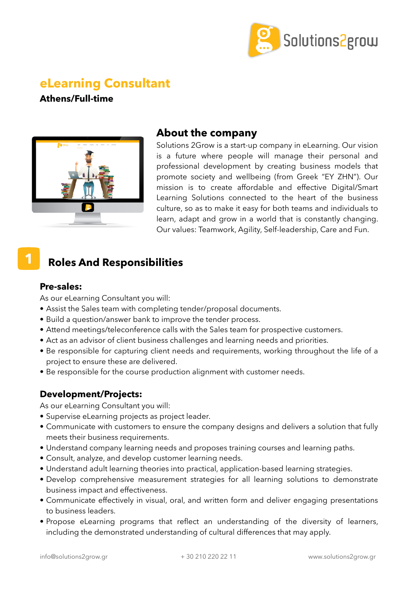

# **eLearning Consultant**

**Athens/Full-time**



## **About the company**

Solutions 2Grow is a start-up company in eLearning. Our vision is a future where people will manage their personal and professional development by creating business models that promote society and wellbeing (from Greek "ΕΥ ΖΗΝ"). Our mission is to create affordable and effective Digital/Smart Learning Solutions connected to the heart of the business culture, so as to make it easy for both teams and individuals to learn, adapt and grow in a world that is constantly changing. Our values: Teamwork, Agility, Self-leadership, Care and Fun.

## **Roles And Responsibilities**

### **Pre-sales:**

**1**

As our eLearning Consultant you will:

- Assist the Sales team with completing tender/proposal documents.
- Build a question/answer bank to improve the tender process.
- Attend meetings/teleconference calls with the Sales team for prospective customers.
- Act as an advisor of client business challenges and learning needs and priorities.
- Be responsible for capturing client needs and requirements, working throughout the life of a project to ensure these are delivered.
- Be responsible for the course production alignment with customer needs.

### **Development/Projects:**

As our eLearning Consultant you will:

- Supervise eLearning projects as project leader.
- Communicate with customers to ensure the company designs and delivers a solution that fully meets their business requirements.
- Understand company learning needs and proposes training courses and learning paths.
- Consult, analyze, and develop customer learning needs.
- Understand adult learning theories into practical, application-based learning strategies.
- Develop comprehensive measurement strategies for all learning solutions to demonstrate business impact and effectiveness.
- Communicate effectively in visual, oral, and written form and deliver engaging presentations to business leaders.
- Propose eLearning programs that reflect an understanding of the diversity of learners, including the demonstrated understanding of cultural differences that may apply.